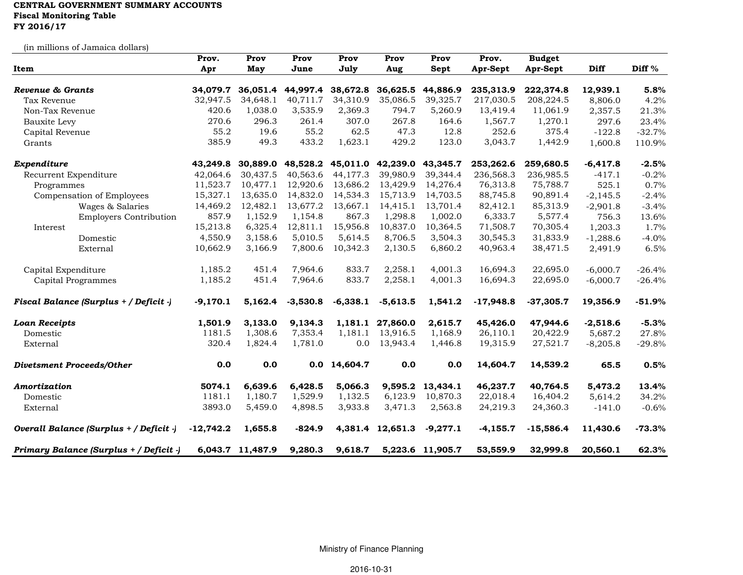## CENTRAL GOVERNMENT SUMMARY ACCOUNTS Fiscal Monitoring Table

FY 2016/17

(in millions of Jamaica dollars)

| Item                                    | Prov.       | Prov             | Prov              | Prov       | Prov              | Prov             | Prov.       | <b>Budget</b> |            |          |
|-----------------------------------------|-------------|------------------|-------------------|------------|-------------------|------------------|-------------|---------------|------------|----------|
|                                         | Apr         | May              | June              | July       | Aug               | Sept             | Apr-Sept    | Apr-Sept      | Diff       | Diff $%$ |
|                                         |             |                  |                   |            |                   |                  |             |               |            |          |
| Revenue & Grants                        | 34,079.7    |                  | 36,051.4 44,997.4 | 38,672.8   | 36,625.5          | 44,886.9         | 235,313.9   | 222,374.8     | 12,939.1   | 5.8%     |
| Tax Revenue                             | 32,947.5    | 34,648.1         | 40,711.7          | 34,310.9   | 35,086.5          | 39,325.7         | 217,030.5   | 208,224.5     | 8,806.0    | 4.2%     |
| Non-Tax Revenue                         | 420.6       | 1,038.0          | 3,535.9           | 2,369.3    | 794.7             | 5,260.9          | 13,419.4    | 11,061.9      | 2,357.5    | 21.3%    |
| Bauxite Levy                            | 270.6       | 296.3            | 261.4             | 307.0      | 267.8             | 164.6            | 1,567.7     | 1,270.1       | 297.6      | 23.4%    |
| Capital Revenue                         | 55.2        | 19.6             | 55.2              | 62.5       | 47.3              | 12.8             | 252.6       | 375.4         | $-122.8$   | $-32.7%$ |
| Grants                                  | 385.9       | 49.3             | 433.2             | 1,623.1    | 429.2             | 123.0            | 3,043.7     | 1,442.9       | 1,600.8    | 110.9%   |
| Expenditure                             | 43,249.8    | 30,889.0         | 48,528.2          |            | 45,011.0 42,239.0 | 43,345.7         | 253,262.6   | 259,680.5     | $-6,417.8$ | $-2.5%$  |
| Recurrent Expenditure                   | 42,064.6    | 30,437.5         | 40,563.6          | 44,177.3   | 39,980.9          | 39.344.4         | 236,568.3   | 236,985.5     | $-417.1$   | $-0.2%$  |
| Programmes                              | 11,523.7    | 10,477.1         | 12,920.6          | 13,686.2   | 13,429.9          | 14,276.4         | 76,313.8    | 75,788.7      | 525.1      | 0.7%     |
| Compensation of Employees               | 15,327.1    | 13,635.0         | 14,832.0          | 14,534.3   | 15,713.9          | 14,703.5         | 88,745.8    | 90,891.4      | $-2,145.5$ | $-2.4%$  |
| Wages & Salaries                        | 14,469.2    | 12,482.1         | 13,677.2          | 13,667.1   | 14,415.1          | 13,701.4         | 82,412.1    | 85,313.9      | $-2,901.8$ | $-3.4%$  |
| <b>Employers Contribution</b>           | 857.9       | 1,152.9          | 1,154.8           | 867.3      | 1,298.8           | 1,002.0          | 6,333.7     | 5,577.4       | 756.3      | 13.6%    |
| Interest                                | 15,213.8    | 6,325.4          | 12,811.1          | 15,956.8   | 10,837.0          | 10,364.5         | 71,508.7    | 70,305.4      | 1,203.3    | 1.7%     |
| Domestic                                | 4,550.9     | 3,158.6          | 5,010.5           | 5,614.5    | 8,706.5           | 3,504.3          | 30,545.3    | 31,833.9      | $-1,288.6$ | $-4.0%$  |
| External                                | 10,662.9    | 3,166.9          | 7,800.6           | 10,342.3   | 2,130.5           | 6,860.2          | 40,963.4    | 38,471.5      | 2,491.9    | 6.5%     |
| Capital Expenditure                     | 1,185.2     | 451.4            | 7,964.6           | 833.7      | 2,258.1           | 4,001.3          | 16,694.3    | 22,695.0      | $-6,000.7$ | $-26.4%$ |
| Capital Programmes                      | 1,185.2     | 451.4            | 7,964.6           | 833.7      | 2,258.1           | 4,001.3          | 16,694.3    | 22,695.0      | $-6,000.7$ | $-26.4%$ |
| Fiscal Balance (Surplus + / Deficit -)  | $-9,170.1$  | 5,162.4          | $-3,530.8$        | $-6,338.1$ | $-5,613.5$        | 1,541.2          | $-17,948.8$ | $-37,305.7$   | 19,356.9   | $-51.9%$ |
| <b>Loan Receipts</b>                    | 1,501.9     | 3,133.0          | 9,134.3           |            | 1,181.1 27,860.0  | 2,615.7          | 45,426.0    | 47,944.6      | $-2,518.6$ | $-5.3%$  |
| Domestic                                | 1181.5      | 1,308.6          | 7,353.4           | 1,181.1    | 13,916.5          | 1,168.9          | 26,110.1    | 20,422.9      | 5,687.2    | 27.8%    |
| External                                | 320.4       | 1,824.4          | 1,781.0           | 0.0        | 13,943.4          | 1,446.8          | 19,315.9    | 27,521.7      | $-8,205.8$ | $-29.8%$ |
| <b>Divetsment Proceeds/Other</b>        | 0.0         | 0.0              | 0.0               | 14,604.7   | 0.0               | 0.0              | 14,604.7    | 14,539.2      | 65.5       | 0.5%     |
| Amortization                            | 5074.1      | 6,639.6          | 6,428.5           | 5,066.3    | 9,595.2           | 13,434.1         | 46,237.7    | 40,764.5      | 5,473.2    | 13.4%    |
| Domestic                                | 1181.1      | 1,180.7          | 1,529.9           | 1,132.5    | 6,123.9           | 10,870.3         | 22,018.4    | 16,404.2      | 5,614.2    | 34.2%    |
| External                                | 3893.0      | 5,459.0          | 4,898.5           | 3,933.8    | 3,471.3           | 2,563.8          | 24,219.3    | 24,360.3      | $-141.0$   | $-0.6%$  |
| Overall Balance (Surplus + / Deficit -) | $-12,742.2$ | 1,655.8          | $-824.9$          |            | 4,381.4 12,651.3  | $-9,277.1$       | $-4,155.7$  | $-15,586.4$   | 11,430.6   | $-73.3%$ |
| Primary Balance (Surplus + / Deficit -) |             | 6,043.7 11,487.9 | 9,280.3           | 9,618.7    |                   | 5,223.6 11,905.7 | 53,559.9    | 32,999.8      | 20,560.1   | 62.3%    |